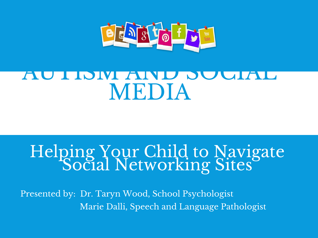

### AUTISM AND SUUA MEDIA

# Helping Your Child to Navigate<br>Social Networking Sites

Presented by: Dr. Taryn Wood, School Psychologist Marie Dalli, Speech and Language Pathologist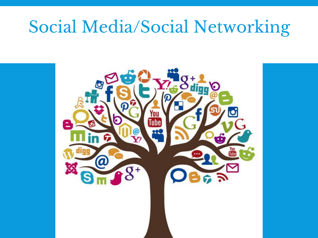### Social Media/Social Networking

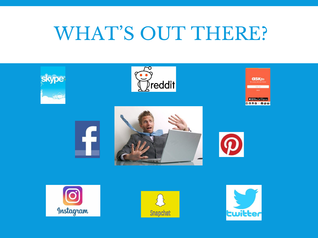## WHAT'S OUT THERE?

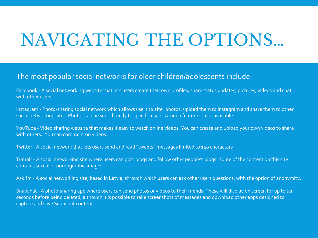### NAVIGATING THE OPTIONS…

#### The most popular social networks for older children/adolescents include:

Facebook - A social networking website that lets users create their own profiles, share status updates, pictures, videos and chat with other users.

Instagram - Photo-sharing social network which allows users to alter photos, upload them to Instagram and share them to other social networking sites. Photos can be sent directly to specific users. A video feature is also available.

YouTube - Video sharing website that makes it easy to watch online videos. You can create and upload your own videos to share with others. You can comment on videos.

Twitter - A social network that lets users send and read "tweets" messages limited to 140 characters

Tumblr - A social networking site where users can post blogs and follow other people's blogs. Some of the content on this site contains sexual or pornographic images.

Ask.fm - A social networking site, based in Latvia, through which users can ask other users questions, with the option of anonymity.

Snapchat - A photo-sharing app where users can send photos or videos to their friends. These will display on screen for up to ten seconds before being deleted, although it is possible to take screenshots of messages and download other apps designed to capture and save Snapchat content.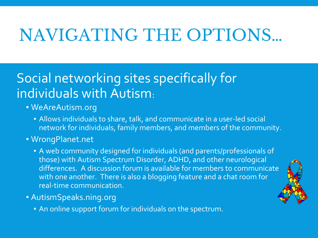### NAVIGATING THE OPTIONS…

#### Social networking sites specifically for individuals with Autism:

- **· WeAreAutism.org** 
	- **EXT Allows individuals to share, talk, and communicate in a user-led social** network for individuals, family members, and members of the community.
- WrongPlanet.net
	- A web community designed for individuals (and parents/professionals of those) with Autism Spectrum Disorder, ADHD, and other neurological differences. A discussion forum is available for members to communicate with one another. There is also a blogging feature and a chat room for real-time communication.
- *E* AutismSpeaks.ning.org
	- **An online support forum for individuals on the spectrum.**

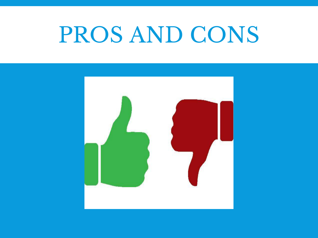# PROS AND CONS

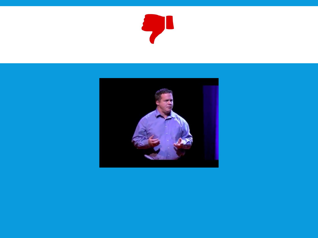

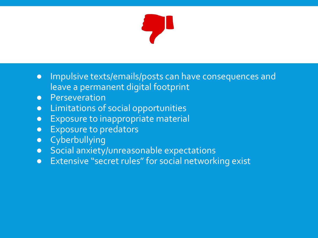

- Impulsive texts/emails/posts can have consequences and leave a permanent digital footprint
- Perseveration
- Limitations of social opportunities
- Exposure to inappropriate material
- Exposure to predators
- Cyberbullying
- Social anxiety/unreasonable expectations
- Extensive "secret rules" for social networking exist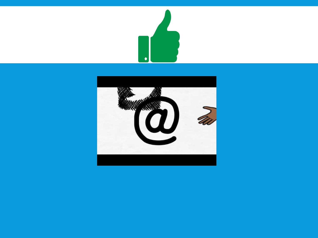

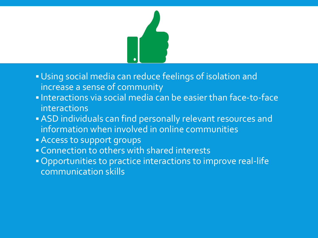

- **. Using social media can reduce feelings of isolation and** increase a sense of community
- **Interactions via social media can be easier than face-to-face** interactions
- **BASD individuals can find personally relevant resources and** information when involved in online communities
- **Access to support groups**
- **.** Connection to others with shared interests
- Opportunities to practice interactions to improve real-life communication skills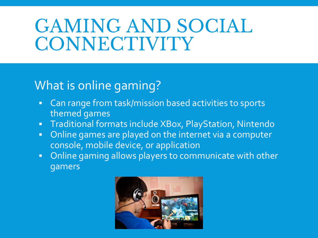#### What is online gaming?

- Can range from task/mission based activities to sports themed games
- **Traditional formats include XBox, PlayStation, Nintendo**
- **.** Online games are played on the internet via a computer console, mobile device, or application
- **.** Online gaming allows players to communicate with other gamers

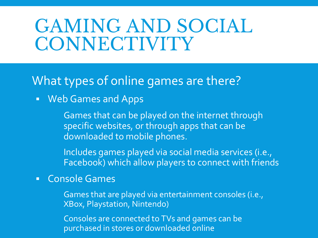#### What types of online games are there?

■ Web Games and Apps

Games that can be played on the internet through specific websites, or through apps that can be downloaded to mobile phones.

Includes games played via social media services (i.e., Facebook) which allow players to connect with friends

#### ▪ Console Games

Games that are played via entertainment consoles (i.e., XBox, Playstation, Nintendo)

Consoles are connected to TVs and games can be purchased in stores or downloaded online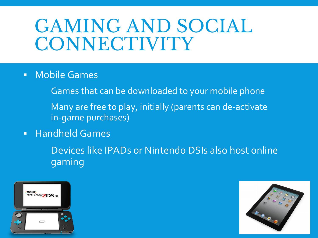- Mobile Games
	- Games that can be downloaded to your mobile phone
	- Many are free to play, initially (parents can de-activate in-game purchases)
- Handheld Games

Devices like IPADs or Nintendo DSIs also host online gaming



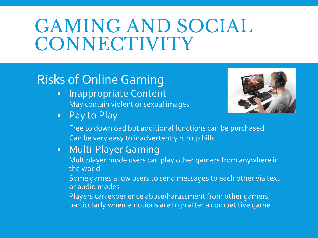#### Risks of Online Gaming

- **· Inappropriate Content** May contain violent or sexual images
- Pay to Play



Free to download but additional functions can be purchased Can be very easy to inadvertently run up bills

▪ Multi-Player Gaming

Multiplayer mode users can play other gamers from anywhere in the world

Some games allow users to send messages to each other via text or audio modes

Players can experience abuse/harassment from other gamers, particularly when emotions are high after a competitive game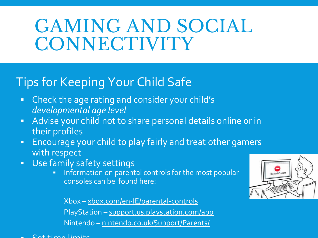#### Tips for Keeping Your Child Safe

- Check the age rating and consider your child's *developmental age level*
- **EXE** Advise your child not to share personal details online or in their profiles
- **Encourage your child to play fairly and treat other gamers** with respect
- Use family safety settings
	- **·** Information on parental controls for the most popular consoles can be found here:

**Blocked Conte** 

Xbox – [xbox.com/en-IE/parental-controls](http://www.xbox.com/en-IE/parental-controls) PlayStation – [support.us.playstation.com/app](https://support.us.playstation.com/app/answers/detail/a_id/5097/~/ps4-parental-controls) Nintendo – [nintendo.co.uk/Support/Parents/](http://www.nintendo.co.uk/Support/Parents/Safety/Keeping-your-child-safe/How-does-Nintendo-keep-your-child-safe--888083.html)

 $\overline{\phantom{a}}$  Cotting limits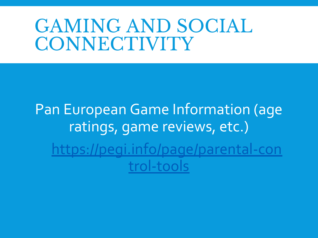Pan European Game Information (age ratings, game reviews, etc.) [https://pegi.info/page/parental-con](https://pegi.info/page/parental-control-tools) [trol-tools](https://pegi.info/page/parental-control-tools)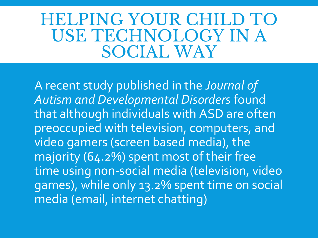#### HELPING YOUR CHILD TO USE TECHNOLOGY IN A SOCIAL WAY

A recent study published in the *Journal of Autism and Developmental Disorders* found that although individuals with ASD are often preoccupied with television, computers, and video gamers (screen based media), the majority (64.2%) spent most of their free time using non-social media (television, video games), while only 13.2% spent time on social media (email, internet chatting)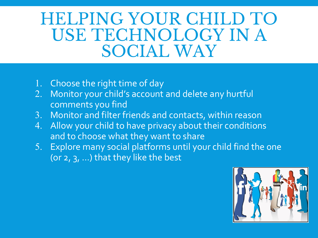### HELPING YOUR CHILD TO USE TECHNOLOGY IN A SOCIAL WAY

- 1. Choose the right time of day
- 2. Monitor your child's account and delete any hurtful comments you find
- 3. Monitor and filter friends and contacts, within reason
- 4. Allow your child to have privacy about their conditions and to choose what they want to share
- 5. Explore many social platforms until your child find the one (or 2, 3, …) that they like the best

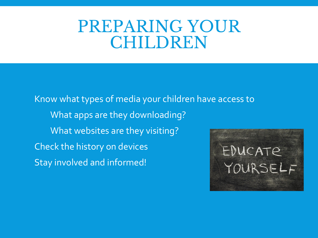Know what types of media your children have access to What apps are they downloading? What websites are they visiting? Check the history on devices Stay involved and informed!

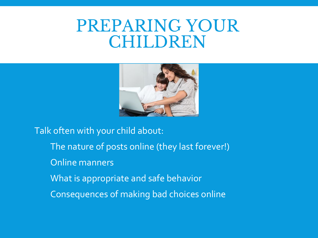

Talk often with your child about: The nature of posts online (they last forever!) Online manners What is appropriate and safe behavior Consequences of making bad choices online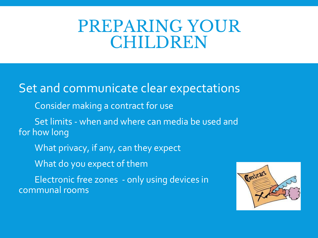#### Set and communicate clear expectations

Consider making a contract for use

Set limits - when and where can media be used and for how long

What privacy, if any, can they expect

What do you expect of them

Electronic free zones - only using devices in communal rooms

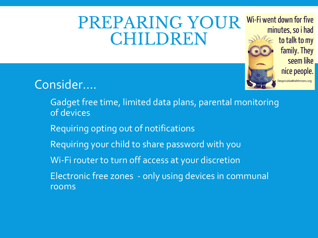### **PREPARING YOUR Wi-Fi went down for five** CHILDREN



#### Consider….

- Gadget free time, limited data plans, parental monitoring of devices
- Requiring opting out of notifications
- Requiring your child to share password with you
- Wi-Fi router to turn off access at your discretion
- Electronic free zones only using devices in communal rooms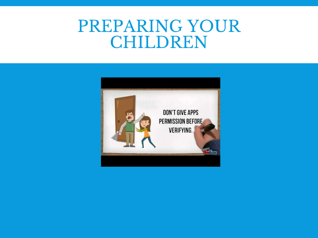